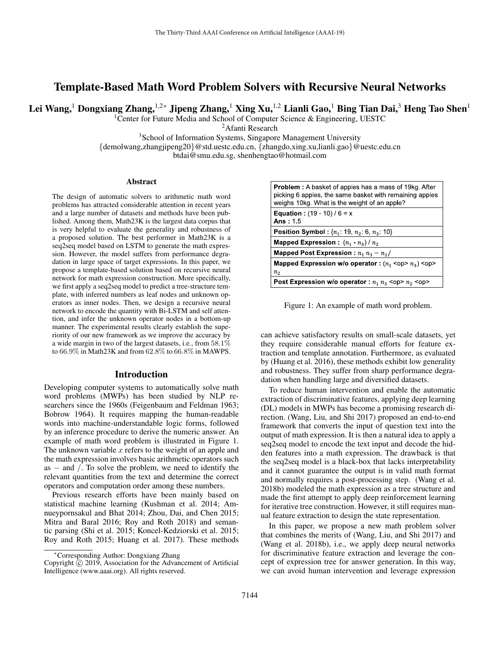# Template-Based Math Word Problem Solvers with Recursive Neural Networks

Lei Wang,<sup>1</sup> Dongxiang Zhang,<sup>1,2∗</sup> Jipeng Zhang,<sup>1</sup> Xing Xu,<sup>1,2</sup> Lianli Gao,<sup>1</sup> Bing Tian Dai,<sup>3</sup> Heng Tao Shen<sup>1</sup>

<sup>1</sup> Center for Future Media and School of Computer Science  $\&$  Engineering, UESTC

<sup>2</sup> Afanti Research

<sup>3</sup>School of Information Systems, Singapore Management University

 $\{\text{demolwang}, \text{zhangjipeng20}\}$ @std.uestc.edu.cn,  $\{\text{zhangdo}, \text{xing.xu}, \text{lianli.gao}\}$ @uestc.edu.cn

btdai@smu.edu.sg, shenhengtao@hotmail.com

#### **Abstract**

The design of automatic solvers to arithmetic math word problems has attracted considerable attention in recent years and a large number of datasets and methods have been published. Among them, Math23K is the largest data corpus that is very helpful to evaluate the generality and robustness of a proposed solution. The best performer in Math23K is a seq2seq model based on LSTM to generate the math expression. However, the model suffers from performance degradation in large space of target expressions. In this paper, we propose a template-based solution based on recursive neural network for math expression construction. More specifically, we first apply a seq2seq model to predict a tree-structure template, with inferred numbers as leaf nodes and unknown operators as inner nodes. Then, we design a recursive neural network to encode the quantity with Bi-LSTM and self attention, and infer the unknown operator nodes in a bottom-up manner. The experimental results clearly establish the superiority of our new framework as we improve the accuracy by a wide margin in two of the largest datasets, i.e., from 58.1% to 66.9% in Math23K and from 62.8% to 66.8% in MAWPS.

#### Introduction

Developing computer systems to automatically solve math word problems (MWPs) has been studied by NLP researchers since the 1960s (Feigenbaum and Feldman 1963; Bobrow 1964). It requires mapping the human-readable words into machine-understandable logic forms, followed by an inference procedure to derive the numeric answer. An example of math word problem is illustrated in Figure 1. The unknown variable  $x$  refers to the weight of an apple and the math expression involves basic arithmetic operators such as − and /. To solve the problem, we need to identify the relevant quantities from the text and determine the correct operators and computation order among these numbers.

Previous research efforts have been mainly based on statistical machine learning (Kushman et al. 2014; Amnueypornsakul and Bhat 2014; Zhou, Dai, and Chen 2015; Mitra and Baral 2016; Roy and Roth 2018) and semantic parsing (Shi et al. 2015; Koncel-Kedziorski et al. 2015; Roy and Roth 2015; Huang et al. 2017). These methods

| <b>Problem:</b> A basket of apples has a mass of 19kg. After<br>picking 6 apples, the same basket with remaining apples<br>weighs 10kg. What is the weight of an apple? |
|-------------------------------------------------------------------------------------------------------------------------------------------------------------------------|
| <b>Equation:</b> $(19 - 10) / 6 = x$<br>Ans: $1.5$                                                                                                                      |
| <b>Position Symbol:</b> $\{n_1: 19, n_2: 6, n_3: 10\}$                                                                                                                  |
| <b>Mapped Expression:</b> $(n_1 \cdot n_3)/n_2$                                                                                                                         |
| Mapped Post Expression : $n_1 n_3 - n_2$ /                                                                                                                              |
| Mapped Expression w/o operator : $(n_1$ <op> <math>n_3</math>) <op></op></op>                                                                                           |
| n <sub>2</sub>                                                                                                                                                          |
| Post Expression w/o operator : $n_1 n_3$ <op> <math>n_2</math> <op></op></op>                                                                                           |

Figure 1: An example of math word problem.

can achieve satisfactory results on small-scale datasets, yet they require considerable manual efforts for feature extraction and template annotation. Furthermore, as evaluated by (Huang et al. 2016), these methods exhibit low generality and robustness. They suffer from sharp performance degradation when handling large and diversified datasets.

To reduce human intervention and enable the automatic extraction of discriminative features, applying deep learning (DL) models in MWPs has become a promising research direction. (Wang, Liu, and Shi 2017) proposed an end-to-end framework that converts the input of question text into the output of math expression. It is then a natural idea to apply a seq2seq model to encode the text input and decode the hidden features into a math expression. The drawback is that the seq2seq model is a black-box that lacks interpretability and it cannot guarantee the output is in valid math format and normally requires a post-processing step. (Wang et al. 2018b) modeled the math expression as a tree structure and made the first attempt to apply deep reinforcement learning for iterative tree construction. However, it still requires manual feature extraction to design the state representation.

In this paper, we propose a new math problem solver that combines the merits of (Wang, Liu, and Shi 2017) and (Wang et al. 2018b), i.e., we apply deep neural networks for discriminative feature extraction and leverage the concept of expression tree for answer generation. In this way, we can avoid human intervention and leverage expression

<sup>∗</sup>Corresponding Author: Dongxiang Zhang

Copyright  $\overline{c}$  2019, Association for the Advancement of Artificial Intelligence (www.aaai.org). All rights reserved.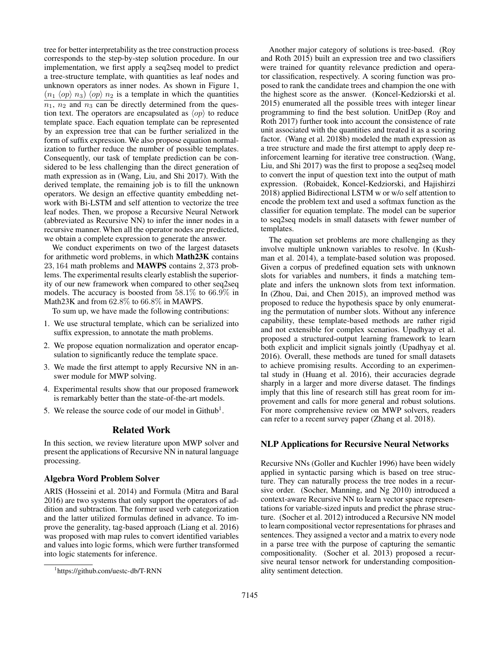tree for better interpretability as the tree construction process corresponds to the step-by-step solution procedure. In our implementation, we first apply a seq2seq model to predict a tree-structure template, with quantities as leaf nodes and unknown operators as inner nodes. As shown in Figure 1,  $(n_1 \langle op \rangle n_3) \langle op \rangle n_2$  is a template in which the quantities  $n_1$ ,  $n_2$  and  $n_3$  can be directly determined from the question text. The operators are encapsulated as  $\langle op \rangle$  to reduce template space. Each equation template can be represented by an expression tree that can be further serialized in the form of suffix expression. We also propose equation normalization to further reduce the number of possible templates. Consequently, our task of template prediction can be considered to be less challenging than the direct generation of math expression as in (Wang, Liu, and Shi 2017). With the derived template, the remaining job is to fill the unknown operators. We design an effective quantity embedding network with Bi-LSTM and self attention to vectorize the tree leaf nodes. Then, we propose a Recursive Neural Network (abbreviated as Recursive NN) to infer the inner nodes in a recursive manner. When all the operator nodes are predicted, we obtain a complete expression to generate the answer.

We conduct experiments on two of the largest datasets for arithmetic word problems, in which Math23K contains 23, 164 math problems and MAWPS contains 2, 373 problems. The experimental results clearly establish the superiority of our new framework when compared to other seq2seq models. The accuracy is boosted from 58.1% to 66.9% in Math23K and from 62.8% to 66.8% in MAWPS.

To sum up, we have made the following contributions:

- 1. We use structural template, which can be serialized into suffix expression, to annotate the math problems.
- 2. We propose equation normalization and operator encapsulation to significantly reduce the template space.
- 3. We made the first attempt to apply Recursive NN in answer module for MWP solving.
- 4. Experimental results show that our proposed framework is remarkably better than the state-of-the-art models.
- 5. We release the source code of our model in Github<sup>1</sup>.

### Related Work

In this section, we review literature upon MWP solver and present the applications of Recursive NN in natural language processing.

#### Algebra Word Problem Solver

ARIS (Hosseini et al. 2014) and Formula (Mitra and Baral 2016) are two systems that only support the operators of addition and subtraction. The former used verb categorization and the latter utilized formulas defined in advance. To improve the generality, tag-based approach (Liang et al. 2016) was proposed with map rules to convert identified variables and values into logic forms, which were further transformed into logic statements for inference.

Another major category of solutions is tree-based. (Roy and Roth 2015) built an expression tree and two classifiers were trained for quantity relevance prediction and operator classification, respectively. A scoring function was proposed to rank the candidate trees and champion the one with the highest score as the answer. (Koncel-Kedziorski et al. 2015) enumerated all the possible trees with integer linear programming to find the best solution. UnitDep (Roy and Roth 2017) further took into account the consistence of rate unit associated with the quantities and treated it as a scoring factor. (Wang et al. 2018b) modeled the math expression as a tree structure and made the first attempt to apply deep reinforcement learning for iterative tree construction. (Wang, Liu, and Shi 2017) was the first to propose a seq2seq model to convert the input of question text into the output of math expression. (Robaidek, Koncel-Kedziorski, and Hajishirzi 2018) applied Bidirectional LSTM w or w/o self attention to encode the problem text and used a softmax function as the classifier for equation template. The model can be superior to seq2seq models in small datasets with fewer number of templates.

The equation set problems are more challenging as they involve multiple unknown variables to resolve. In (Kushman et al. 2014), a template-based solution was proposed. Given a corpus of predefined equation sets with unknown slots for variables and numbers, it finds a matching template and infers the unknown slots from text information. In (Zhou, Dai, and Chen 2015), an improved method was proposed to reduce the hypothesis space by only enumerating the permutation of number slots. Without any inference capability, these template-based methods are rather rigid and not extensible for complex scenarios. Upadhyay et al. proposed a structured-output learning framework to learn both explicit and implicit signals jointly (Upadhyay et al. 2016). Overall, these methods are tuned for small datasets to achieve promising results. According to an experimental study in (Huang et al. 2016), their accuracies degrade sharply in a larger and more diverse dataset. The findings imply that this line of research still has great room for improvement and calls for more general and robust solutions. For more comprehensive review on MWP solvers, readers can refer to a recent survey paper (Zhang et al. 2018).

## NLP Applications for Recursive Neural Networks

Recursive NNs (Goller and Kuchler 1996) have been widely applied in syntactic parsing which is based on tree structure. They can naturally process the tree nodes in a recursive order. (Socher, Manning, and Ng 2010) introduced a context-aware Recursive NN to learn vector space representations for variable-sized inputs and predict the phrase structure. (Socher et al. 2012) introduced a Recursive NN model to learn compositional vector representations for phrases and sentences. They assigned a vector and a matrix to every node in a parse tree with the purpose of capturing the semantic compositionality. (Socher et al. 2013) proposed a recursive neural tensor network for understanding compositionality sentiment detection.

<sup>1</sup> https://github.com/uestc-db/T-RNN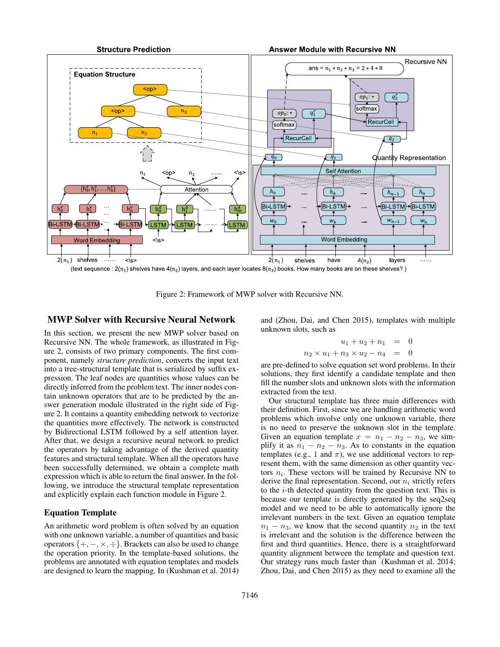

(text sequence :  $2(n_1)$  shelves have  $4(n_2)$  layers, and each layer locates  $8(n_3)$  books. How many books are on these shelves?)

Figure 2: Framework of MWP solver with Recursive NN.

### MWP Solver with Recursive Neural Network

In this section, we present the new MWP solver based on Recursive NN. The whole framework, as illustrated in Figure 2, consists of two primary components. The first component, namely *structure prediction*, converts the input text into a tree-structural template that is serialized by suffix expression. The leaf nodes are quantities whose values can be directly inferred from the problem text. The inner nodes contain unknown operators that are to be predicted by the answer generation module illustrated in the right side of Figure 2. It contains a quantity embedding network to vectorize the quantities more effectively. The network is constructed by Bidirectional LSTM followed by a self attention layer. After that, we design a recursive neural network to predict the operators by taking advantage of the derived quantity features and structural template. When all the operators have been successfully determined, we obtain a complete math expression which is able to return the final answer. In the following, we introduce the structural template representation and explicitly explain each function module in Figure 2.

### Equation Template

An arithmetic word problem is often solved by an equation with one unknown variable, a number of quantities and basic operators  $\{+, -, \times, \div\}$ . Brackets can also be used to change the operation priority. In the template-based solutions, the problems are annotated with equation templates and models are designed to learn the mapping. In (Kushman et al. 2014)

and (Zhou, Dai, and Chen 2015), templates with multiple unknown slots, such as

$$
u_1 + u_2 + n_1 = 0
$$
  

$$
n_2 \times u_1 + n_3 \times u_2 - n_4 = 0
$$

are pre-defined to solve equation set word problems. In their solutions, they first identify a candidate template and then fill the number slots and unknown slots with the information extracted from the text.

Our structural template has three main differences with their definition. First, since we are handling arithmetic word problems which involve only one unknown variable, there is no need to preserve the unknown slot in the template. Given an equation template  $x = n_1 - n_2 - n_3$ , we simplify it as  $n_1 - n_2 - n_3$ . As to constants in the equation templates (e.g., 1 and  $\pi$ ), we use additional vectors to represent them, with the same dimension as other quantity vectors  $n_i$ . These vectors will be trained by Recursive NN to derive the final representation. Second, our  $n_i$  strictly refers to the  $i$ -th detected quantity from the question text. This is because our template is directly generated by the seq2seq model and we need to be able to automatically ignore the irrelevant numbers in the text. Given an equation template  $n_1 - n_3$ , we know that the second quantity  $n_2$  in the text is irrelevant and the solution is the difference between the first and third quantities. Hence, there is a straightforward quantity alignment between the template and question text. Our strategy runs much faster than (Kushman et al. 2014; Zhou, Dai, and Chen 2015) as they need to examine all the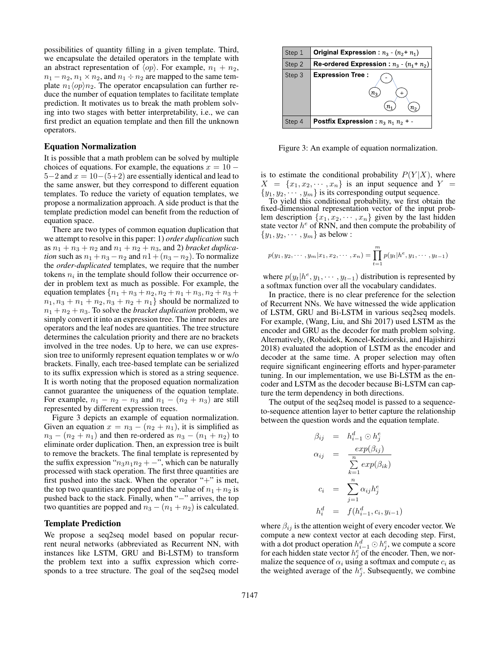possibilities of quantity filling in a given template. Third, we encapsulate the detailed operators in the template with an abstract representation of  $\langle op \rangle$ . For example,  $n_1 + n_2$ ,  $n_1 - n_2$ ,  $n_1 \times n_2$ , and  $n_1 \div n_2$  are mapped to the same template  $n_1\langle op \rangle n_2$ . The operator encapsulation can further reduce the number of equation templates to facilitate template prediction. It motivates us to break the math problem solving into two stages with better interpretability, i.e., we can first predict an equation template and then fill the unknown operators.

#### Equation Normalization

It is possible that a math problem can be solved by multiple choices of equations. For example, the equations  $x = 10 5-2$  and  $x = 10-(5+2)$  are essentially identical and lead to the same answer, but they correspond to different equation templates. To reduce the variety of equation templates, we propose a normalization approach. A side product is that the template prediction model can benefit from the reduction of equation space.

There are two types of common equation duplication that we attempt to resolve in this paper: 1) *order duplication* such as  $n_1 + n_3 + n_2$  and  $n_1 + n_2 + n_3$ , and 2) *bracket duplication* such as  $n_1 + n_3 - n_2$  and  $n_1 + (n_3 - n_2)$ . To normalize the *order-duplicated* templates, we require that the number tokens  $n_i$  in the template should follow their occurrence order in problem text as much as possible. For example, the equation templates  $\{n_1+n_3+n_2, n_2+n_1+n_3, n_2+n_3+n_4\}$  $n_1, n_3 + n_1 + n_2, n_3 + n_2 + n_1$  should be normalized to  $n_1 + n_2 + n_3$ . To solve the *bracket duplication* problem, we simply convert it into an expression tree. The inner nodes are operators and the leaf nodes are quantities. The tree structure determines the calculation priority and there are no brackets involved in the tree nodes. Up to here, we can use expression tree to uniformly represent equation templates w or w/o brackets. Finally, each tree-based template can be serialized to its suffix expression which is stored as a string sequence. It is worth noting that the proposed equation normalization cannot guarantee the uniqueness of the equation template. For example,  $n_1 - n_2 - n_3$  and  $n_1 - (n_2 + n_3)$  are still represented by different expression trees.

Figure 3 depicts an example of equation normalization. Given an equation  $x = n_3 - (n_2 + n_1)$ , it is simplified as  $n_3 - (n_2 + n_1)$  and then re-ordered as  $n_3 - (n_1 + n_2)$  to eliminate order duplication. Then, an expression tree is built to remove the brackets. The final template is represented by the suffix expression " $n_3n_1n_2 + -$ ", which can be naturally processed with stack operation. The first three quantities are first pushed into the stack. When the operator " $+$ " is met, the top two quantities are popped and the value of  $n_1 + n_2$  is pushed back to the stack. Finally, when "−" arrives, the top two quantities are popped and  $n_3 - (n_1 + n_2)$  is calculated.

#### Template Prediction

We propose a seq2seq model based on popular recurrent neural networks (abbreviated as Recurrent NN, with instances like LSTM, GRU and Bi-LSTM) to transform the problem text into a suffix expression which corresponds to a tree structure. The goal of the seq2seq model



Figure 3: An example of equation normalization.

is to estimate the conditional probability  $P(Y|X)$ , where  $X = \{x_1, x_2, \dots, x_n\}$  is an input sequence and  $Y =$  $\{y_1, y_2, \dots, y_m\}$  is its corresponding output sequence.

To yield this conditional probability, we first obtain the fixed-dimensional representation vector of the input problem description  $\{x_1, x_2, \dots, x_n\}$  given by the last hidden state vector  $h^e$  of RNN, and then compute the probability of  $\{y_1, y_2, \cdots, y_m\}$  as below :

$$
p(y_1, y_2, \cdots, y_m | x_1, x_2, \cdots, x_n) = \prod_{t=1}^m p(y_t | h^e, y_1, \cdots, y_{t-1})
$$

where  $p(y_t|h^e, y_1, \dots, y_{t-1})$  distribution is represented by a softmax function over all the vocabulary candidates.

In practice, there is no clear preference for the selection of Recurrent NNs. We have witnessed the wide application of LSTM, GRU and Bi-LSTM in various seq2seq models. For example, (Wang, Liu, and Shi 2017) used LSTM as the encoder and GRU as the decoder for math problem solving. Alternatively, (Robaidek, Koncel-Kedziorski, and Hajishirzi 2018) evaluated the adoption of LSTM as the encoder and decoder at the same time. A proper selection may often require significant engineering efforts and hyper-parameter tuning. In our implementation, we use Bi-LSTM as the encoder and LSTM as the decoder because Bi-LSTM can capture the term dependency in both directions.

The output of the seq2seq model is passed to a sequenceto-sequence attention layer to better capture the relationship between the question words and the equation template.

$$
\beta_{ij} = h_{i-1}^d \odot h_j^e
$$
  
\n
$$
\alpha_{ij} = \frac{exp(\beta_{ij})}{\sum_{k=1}^n exp(\beta_{ik})}
$$
  
\n
$$
c_i = \sum_{j=1}^n \alpha_{ij} h_j^e
$$
  
\n
$$
h_i^d = f(h_{i-1}^d, c_i, y_{i-1})
$$

where  $\beta_{ij}$  is the attention weight of every encoder vector. We compute a new context vector at each decoding step. First, with a dot product operation  $h_{i-1}^d \odot h_j^e$ , we compute a score for each hidden state vector  $h_j^e$  of the encoder. Then, we normalize the sequence of  $\alpha_i$  using a softmax and compute  $c_i$  as the weighted average of the  $h_j^e$ . Subsequently, we combine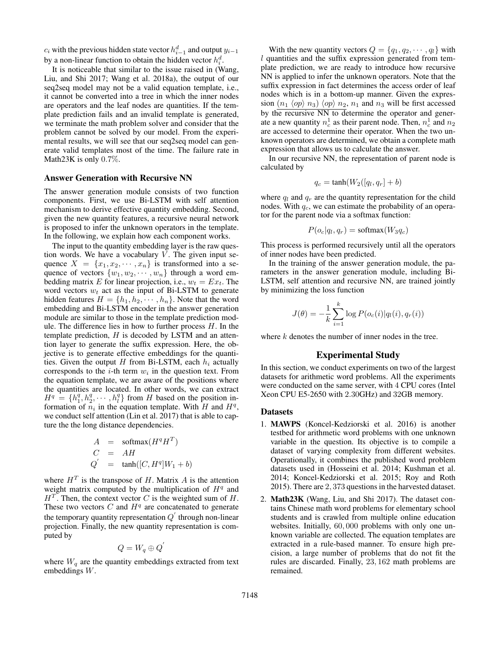$c_i$  with the previous hidden state vector  $h_{i-1}^d$  and output  $y_{i-1}$ by a non-linear function to obtain the hidden vector  $h_i^d$ .

It is noticeable that similar to the issue raised in (Wang, Liu, and Shi 2017; Wang et al. 2018a), the output of our seq2seq model may not be a valid equation template, i.e., it cannot be converted into a tree in which the inner nodes are operators and the leaf nodes are quantities. If the template prediction fails and an invalid template is generated, we terminate the math problem solver and consider that the problem cannot be solved by our model. From the experimental results, we will see that our seq2seq model can generate valid templates most of the time. The failure rate in Math23K is only 0.7%.

#### Answer Generation with Recursive NN

The answer generation module consists of two function components. First, we use Bi-LSTM with self attention mechanism to derive effective quantity embedding. Second, given the new quantity features, a recursive neural network is proposed to infer the unknown operators in the template. In the following, we explain how each component works.

The input to the quantity embedding layer is the raw question words. We have a vocabulary  $V$ . The given input sequence  $X = \{x_1, x_2, \dots, x_n\}$  is transformed into a sequence of vectors  $\{w_1, w_2, \cdots, w_n\}$  through a word embedding matrix E for linear projection, i.e.,  $w_t = E x_t$ . The word vectors  $w_t$  act as the input of Bi-LSTM to generate hidden features  $H = \{h_1, h_2, \dots, h_n\}$ . Note that the word embedding and Bi-LSTM encoder in the answer generation module are similar to those in the template prediction module. The difference lies in how to further process  $H$ . In the template prediction,  $H$  is decoded by LSTM and an attention layer to generate the suffix expression. Here, the objective is to generate effective embeddings for the quantities. Given the output H from Bi-LSTM, each  $h_i$  actually corresponds to the  $i$ -th term  $w_i$  in the question text. From the equation template, we are aware of the positions where the quantities are located. In other words, we can extract  $H^q = \{h_1^q, h_2^q, \cdots, h_l^q\}$  from H based on the position information of  $n_i$  in the equation template. With H and  $H<sup>q</sup>$ , we conduct self attention (Lin et al. 2017) that is able to capture the the long distance dependencies.

$$
A = \text{softmax}(H^q H^T)
$$
  
\n
$$
C = AH
$$
  
\n
$$
Q' = \tanh([C, H^q]W_1 + b)
$$

where  $H<sup>T</sup>$  is the transpose of H. Matrix A is the attention weight matrix computed by the multiplication of  $H<sup>q</sup>$  and  $H<sup>T</sup>$ . Then, the context vector C is the weighted sum of H. These two vectors  $C$  and  $H<sup>q</sup>$  are concatenated to generate the temporary quantity representation  $Q'$  through non-linear projection. Finally, the new quantity representation is computed by

$$
Q = W_q \oplus Q
$$

 $\overline{a}$ 

where  $W_q$  are the quantity embeddings extracted from text embeddings W.

With the new quantity vectors  $Q = \{q_1, q_2, \dots, q_l\}$  with  $l$  quantities and the suffix expression generated from template prediction, we are ready to introduce how recursive NN is applied to infer the unknown operators. Note that the suffix expression in fact determines the access order of leaf nodes which is in a bottom-up manner. Given the expression  $(n_1 \langle op \rangle n_3) \langle op \rangle n_2, n_1$  and  $n_3$  will be first accessed by the recursive NN to determine the operator and generate a new quantity  $n_c^1$  as their parent node. Then,  $n_c^1$  and  $n_2$ are accessed to determine their operator. When the two unknown operators are determined, we obtain a complete math expression that allows us to calculate the answer.

In our recursive NN, the representation of parent node is calculated by

$$
q_c = \tanh(W_2([q_l, q_r] + b)
$$

where  $q_l$  and  $q_r$  are the quantity representation for the child nodes. With  $q_c$ , we can estimate the probability of an operator for the parent node via a softmax function:

$$
P(o_c|q_l, q_r) = \text{softmax}(W_3 q_c)
$$

This process is performed recursively until all the operators of inner nodes have been predicted.

In the training of the answer generation module, the parameters in the answer generation module, including Bi-LSTM, self attention and recursive NN, are trained jointly by minimizing the loss function

$$
J(\theta) = -\frac{1}{k} \sum_{i=1}^{k} \log P(o_c(i)|q_l(i), q_r(i))
$$

where  $k$  denotes the number of inner nodes in the tree.

## Experimental Study

In this section, we conduct experiments on two of the largest datasets for arithmetic word problems. All the experiments were conducted on the same server, with 4 CPU cores (Intel Xeon CPU E5-2650 with 2.30GHz) and 32GB memory.

### Datasets

- 1. MAWPS (Koncel-Kedziorski et al. 2016) is another testbed for arithmetic word problems with one unknown variable in the question. Its objective is to compile a dataset of varying complexity from different websites. Operationally, it combines the published word problem datasets used in (Hosseini et al. 2014; Kushman et al. 2014; Koncel-Kedziorski et al. 2015; Roy and Roth 2015). There are 2, 373 questions in the harvested dataset.
- 2. Math23K (Wang, Liu, and Shi 2017). The dataset contains Chinese math word problems for elementary school students and is crawled from multiple online education websites. Initially, 60, 000 problems with only one unknown variable are collected. The equation templates are extracted in a rule-based manner. To ensure high precision, a large number of problems that do not fit the rules are discarded. Finally, 23, 162 math problems are remained.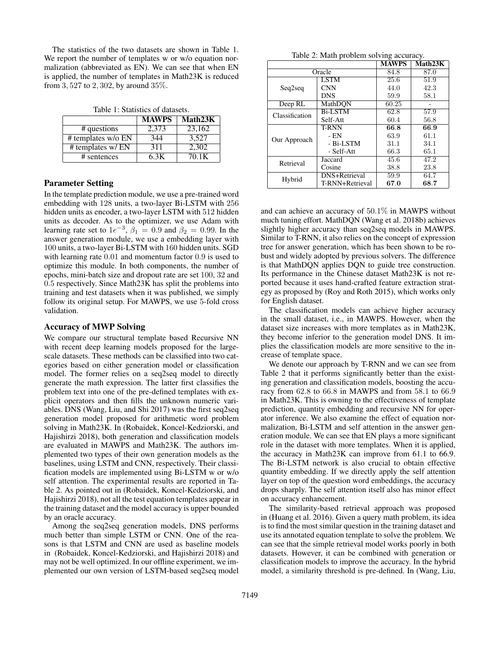The statistics of the two datasets are shown in Table 1. We report the number of templates w or w/o equation normalization (abbreviated as EN). We can see that when EN is applied, the number of templates in Math23K is reduced from 3, 527 to 2, 302, by around 35%.

Table 1: Statistics of datasets.

|                      | <b>MAWPS</b> | Math23K |
|----------------------|--------------|---------|
| # questions          | 2.373        | 23,162  |
| $#$ templates w/o EN | 344          | 3.527   |
| # templates w/ EN    | 311          | 2.302   |
| # sentences          | 6 3K         | 70. IK  |

#### Parameter Setting

In the template prediction module, we use a pre-trained word embedding with 128 units, a two-layer Bi-LSTM with 256 hidden units as encoder, a two-layer LSTM with 512 hidden units as decoder. As to the optimizer, we use Adam with learning rate set to  $1e^{-3}$ ,  $\beta_1 = 0.9$  and  $\beta_2 = 0.99$ . In the answer generation module, we use a embedding layer with 100 units, a two-layer Bi-LSTM with 160 hidden units. SGD with learning rate  $0.01$  and momentum factor  $0.9$  is used to optimize this module. In both components, the number of epochs, mini-batch size and dropout rate are set 100, 32 and 0.5 respectively. Since Math23K has split the problems into training and test datasets when it was published, we simply follow its original setup. For MAWPS, we use 5-fold cross validation.

#### Accuracy of MWP Solving

We compare our structural template based Recursive NN with recent deep learning models proposed for the largescale datasets. These methods can be classified into two categories based on either generation model or classification model. The former relies on a seq2seq model to directly generate the math expression. The latter first classifies the problem text into one of the pre-defined templates with explicit operators and then fills the unknown numeric variables. DNS (Wang, Liu, and Shi 2017) was the first seq2seq generation model proposed for arithmetic word problem solving in Math23K. In (Robaidek, Koncel-Kedziorski, and Hajishirzi 2018), both generation and classification models are evaluated in MAWPS and Math23K. The authors implemented two types of their own generation models as the baselines, using LSTM and CNN, respectively. Their classification models are implemented using Bi-LSTM w or w/o self attention. The experimental results are reported in Table 2. As pointed out in (Robaidek, Koncel-Kedziorski, and Hajishirzi 2018), not all the test equation templates appear in the training dataset and the model accuracy is upper bounded by an oracle accuracy.

Among the seq2seq generation models, DNS performs much better than simple LSTM or CNN. One of the reasons is that LSTM and CNN are used as baseline models in (Robaidek, Koncel-Kedziorski, and Hajishirzi 2018) and may not be well optimized. In our offline experiment, we implemented our own version of LSTM-based seq2seq model

|  |  | Table 2: Math problem solving accuracy. |
|--|--|-----------------------------------------|
|  |  |                                         |

|                |                 | <b>MAWPS</b> | Math23K |
|----------------|-----------------|--------------|---------|
|                | Oracle          | 84.8         | 87.0    |
|                | <b>LSTM</b>     | 25.6         | 51.9    |
| Seq2seq        | <b>CNN</b>      | 44.0         | 42.3    |
|                | <b>DNS</b>      | 59.9         | 58.1    |
| Deep RL        | MathDON         | 60.25        |         |
| Classification | <b>Bi-LSTM</b>  | 62.8         | 57.9    |
|                | Self-Att        | 60.4         | 56.8    |
|                | <b>T-RNN</b>    | 66.8         | 66.9    |
| Our Approach   | - EN            | 63.9         | 61.1    |
|                | - Bi-LSTM       | 31.1         | 34.1    |
|                | - Self-Att      | 66.3         | 65.1    |
| Retrieval      | Jaccard         | 45.6         | 47.2    |
|                | Cosine          | 38.8         | 23.8    |
| Hybrid         | DNS+Retrieval   | 59.9         | 64.7    |
|                | T-RNN+Retrieval | 67.0         | 68.7    |

and can achieve an accuracy of 50.1% in MAWPS without much tuning effort. MathDQN (Wang et al. 2018b) achieves slightly higher accuracy than seq2seq models in MAWPS. Similar to T-RNN, it also relies on the concept of expression tree for answer generation, which has been shown to be robust and widely adopted by previous solvers. The difference is that MathDQN applies DQN to guide tree construction. Its performance in the Chinese dataset Math23K is not reported because it uses hand-crafted feature extraction strategy as proposed by (Roy and Roth 2015), which works only for English dataset.

The classification models can achieve higher accuracy in the small dataset, i.e., in MAWPS. However, when the dataset size increases with more templates as in Math23K, they become inferior to the generation model DNS. It implies the classification models are more sensitive to the increase of template space.

We denote our approach by T-RNN and we can see from Table 2 that it performs significantly better than the existing generation and classification models, boosting the accuracy from 62.8 to 66.8 in MAWPS and from 58.1 to 66.9 in Math23K. This is owning to the effectiveness of template prediction, quantity embedding and recursive NN for operator inference. We also examine the effect of equation normalization, Bi-LSTM and self attention in the answer generation module. We can see that EN plays a more significant role in the dataset with more templates. When it is applied, the accuracy in Math23K can improve from 61.1 to 66.9. The Bi-LSTM network is also crucial to obtain effective quantity embedding. If we directly apply the self attention layer on top of the question word embeddings, the accuracy drops sharply. The self attention itself also has minor effect on accuracy enhancement.

The similarity-based retrieval approach was proposed in (Huang et al. 2016). Given a query math problem, its idea is to find the most similar question in the training dataset and use its annotated equation template to solve the problem. We can see that the simple retrieval model works poorly in both datasets. However, it can be combined with generation or classification models to improve the accuracy. In the hybrid model, a similarity threshold is pre-defined. In (Wang, Liu,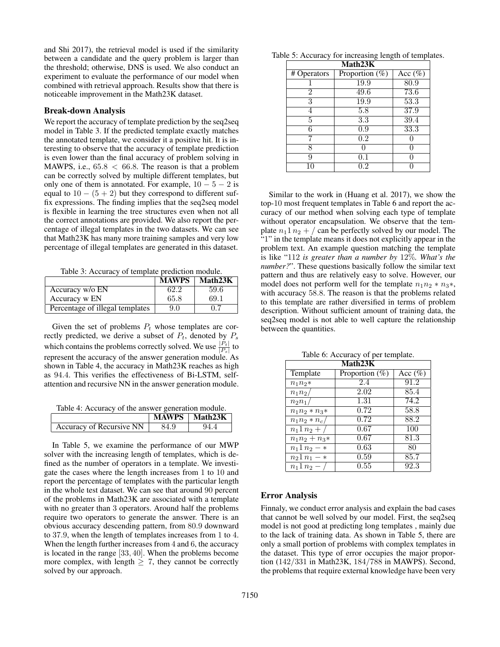and Shi 2017), the retrieval model is used if the similarity between a candidate and the query problem is larger than the threshold; otherwise, DNS is used. We also conduct an experiment to evaluate the performance of our model when combined with retrieval approach. Results show that there is noticeable improvement in the Math23K dataset.

#### Break-down Analysis

We report the accuracy of template prediction by the seq2seq model in Table 3. If the predicted template exactly matches the annotated template, we consider it a positive hit. It is interesting to observe that the accuracy of template prediction is even lower than the final accuracy of problem solving in MAWPS, i.e.,  $65.8 < 66.8$ . The reason is that a problem can be correctly solved by multiple different templates, but only one of them is annotated. For example,  $10 - 5 - 2$  is equal to  $10 - (5 + 2)$  but they correspond to different suffix expressions. The finding implies that the seq2seq model is flexible in learning the tree structures even when not all the correct annotations are provided. We also report the percentage of illegal templates in the two datasets. We can see that Math23K has many more training samples and very low percentage of illegal templates are generated in this dataset.

Table 3: Accuracy of template prediction module.

|                                 | <b>MAWPS</b> | Math23K |
|---------------------------------|--------------|---------|
| Accuracy w/o EN                 | 62.2         | 59.6    |
| Accuracy w EN                   | 65.8         | 69.1    |
| Percentage of illegal templates | 9.0          | 0.7     |

Given the set of problems  $P_t$  whose templates are correctly predicted, we derive a subset of  $P_t$ , denoted by  $P_s$ which contains the problems correctly solved. We use  $\frac{|P_t|}{|P_s|}$  to represent the accuracy of the answer generation module. As shown in Table 4, the accuracy in Math23K reaches as high as 94.4. This verifies the effectiveness of Bi-LSTM, selfattention and recursive NN in the answer generation module.

Table 4: Accuracy of the answer generation module.

|                          |      | MAWPS   Math23K |
|--------------------------|------|-----------------|
| Accuracy of Recursive NN | 84.9 | $94$ .          |

In Table 5, we examine the performance of our MWP solver with the increasing length of templates, which is defined as the number of operators in a template. We investigate the cases where the length increases from 1 to 10 and report the percentage of templates with the particular length in the whole test dataset. We can see that around 90 percent of the problems in Math23K are associated with a template with no greater than 3 operators. Around half the problems require two operators to generate the answer. There is an obvious accuracy descending pattern, from 80.9 downward to 37.9, when the length of templates increases from 1 to 4. When the length further increases from 4 and 6, the accuracy is located in the range [33, 40]. When the problems become more complex, with length  $\geq 7$ , they cannot be correctly solved by our approach.

| Math <sub>23K</sub> |                   |                   |
|---------------------|-------------------|-------------------|
| # Operators         | Proportion $(\%)$ | Acc $(\%)$        |
|                     | 19.9              | $\overline{80.9}$ |
| 2                   | 49.6              | 73.6              |
| 3                   | 19.9              | 53.3              |
|                     | 5.8               | 37.9              |
| 5                   | 3.3               | 39.4              |
| 6                   | 0.9               | 33.3              |
|                     | 0.2               |                   |
| Ω                   |                   |                   |
|                     | 0.1               |                   |
|                     | - 2               |                   |

Table 5: Accuracy for increasing length of templates.

Similar to the work in (Huang et al. 2017), we show the top-10 most frequent templates in Table 6 and report the accuracy of our method when solving each type of template without operator encapsulation. We observe that the template  $n_1 1 n_2 + /$  can be perfectly solved by our model. The "1" in the template means it does not explicitly appear in the problem text. An example question matching the template is like "112 *is greater than a number by* 12%*. What's the number?*". These questions basically follow the similar text pattern and thus are relatively easy to solve. However, our model does not perform well for the template  $n_1n_2 * n_3*$ , with accuracy 58.8. The reason is that the problems related to this template are rather diversified in terms of problem description. Without sufficient amount of training data, the seq2seq model is not able to well capture the relationship between the quantities.

| Math23K           |                   |            |  |
|-------------------|-------------------|------------|--|
| Template          | Proportion $(\%)$ | Acc $(\%)$ |  |
| $n_1 n_2*$        | 2.4               | 91.2       |  |
| $n_1n_2$          | 2.02              | 85.4       |  |
| $n_2n_1$          | 1.31              | 74.2       |  |
| $n_1 n_2 * n_3 *$ | 0.72              | 58.8       |  |
| $n_1 n_2 * n_c$   | 0.72              | 88.2       |  |
| $n_1 1 n_2 +$     | 0.67              | 100        |  |
| $n_1n_2 + n_3*$   | 0.67              | 81.3       |  |
| $n_1 1 n_2 - *$   | 0.63              | 80         |  |
| $n_2 1 n_1 - *$   | 0.59              | 85.7       |  |
| $n_1 1 n_2 -$     | 0.55              | 92.3       |  |

Table 6: Accuracy of per template.

#### Error Analysis

Finnaly, we conduct error analysis and explain the bad cases that cannot be well solved by our model. First, the seq2seq model is not good at predicting long templates , mainly due to the lack of training data. As shown in Table 5, there are only a small portion of problems with complex templates in the dataset. This type of error occupies the major proportion (142/331 in Math23K, 184/788 in MAWPS). Second, the problems that require external knowledge have been very